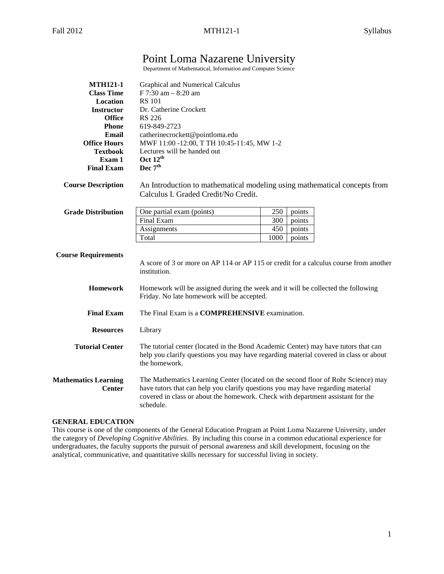# Point Loma Nazarene University

Department of Mathematical, Information and Computer Science

| <b>MTH121-1</b>                              | Graphical and Numerical Calculus                                                                                                                                                                                                                                     |  |  |  |
|----------------------------------------------|----------------------------------------------------------------------------------------------------------------------------------------------------------------------------------------------------------------------------------------------------------------------|--|--|--|
| <b>Class Time</b>                            | F 7:30 am - 8:20 am                                                                                                                                                                                                                                                  |  |  |  |
| <b>Location</b>                              | <b>RS</b> 101                                                                                                                                                                                                                                                        |  |  |  |
| <b>Instructor</b>                            | Dr. Catherine Crockett                                                                                                                                                                                                                                               |  |  |  |
| <b>Office</b>                                | <b>RS 226</b>                                                                                                                                                                                                                                                        |  |  |  |
| <b>Phone</b>                                 | 619-849-2723                                                                                                                                                                                                                                                         |  |  |  |
| Email                                        | catherinecrockett@pointloma.edu                                                                                                                                                                                                                                      |  |  |  |
| <b>Office Hours</b>                          | MWF 11:00 -12:00, T TH 10:45-11:45, MW 1-2                                                                                                                                                                                                                           |  |  |  |
| <b>Textbook</b>                              | Lectures will be handed out                                                                                                                                                                                                                                          |  |  |  |
| Exam 1                                       | Oct $12^{\text{th}}$                                                                                                                                                                                                                                                 |  |  |  |
| <b>Final Exam</b>                            | Dec $7^{\rm th}$                                                                                                                                                                                                                                                     |  |  |  |
| <b>Course Description</b>                    | An Introduction to mathematical modeling using mathematical concepts from<br>Calculus I. Graded Credit/No Credit.                                                                                                                                                    |  |  |  |
| <b>Grade Distribution</b>                    | 250<br>One partial exam (points)<br>points                                                                                                                                                                                                                           |  |  |  |
|                                              | Final Exam<br>300<br>points                                                                                                                                                                                                                                          |  |  |  |
|                                              | 450<br>Assignments<br>points                                                                                                                                                                                                                                         |  |  |  |
|                                              | Total<br>1000<br>points                                                                                                                                                                                                                                              |  |  |  |
|                                              |                                                                                                                                                                                                                                                                      |  |  |  |
| <b>Course Requirements</b>                   | A score of 3 or more on AP 114 or AP 115 or credit for a calculus course from another<br>institution.                                                                                                                                                                |  |  |  |
| <b>Homework</b>                              | Homework will be assigned during the week and it will be collected the following<br>Friday. No late homework will be accepted.                                                                                                                                       |  |  |  |
| <b>Final Exam</b>                            | The Final Exam is a <b>COMPREHENSIVE</b> examination.                                                                                                                                                                                                                |  |  |  |
| <b>Resources</b>                             | Library                                                                                                                                                                                                                                                              |  |  |  |
| <b>Tutorial Center</b>                       | The tutorial center (located in the Bond Academic Center) may have tutors that can<br>help you clarify questions you may have regarding material covered in class or about<br>the homework.                                                                          |  |  |  |
| <b>Mathematics Learning</b><br><b>Center</b> | The Mathematics Learning Center (located on the second floor of Rohr Science) may<br>have tutors that can help you clarify questions you may have regarding material<br>covered in class or about the homework. Check with department assistant for the<br>schedule. |  |  |  |

#### **GENERAL EDUCATION**

This course is one of the components of the General Education Program at Point Loma Nazarene University, under the category of *Developing Cognitive Abilities*. By including this course in a common educational experience for undergraduates, the faculty supports the pursuit of personal awareness and skill development, focusing on the analytical, communicative, and quantitative skills necessary for successful living in society.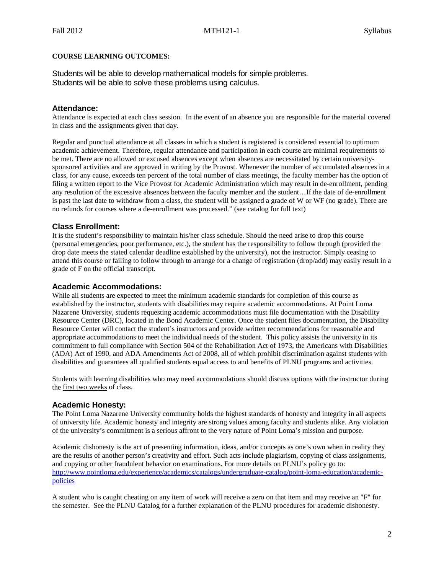#### **COURSE LEARNING OUTCOMES:**

Students will be able to develop mathematical models for simple problems. Students will be able to solve these problems using calculus.

#### **Attendance:**

Attendance is expected at each class session. In the event of an absence you are responsible for the material covered in class and the assignments given that day.

Regular and punctual attendance at all classes in which a student is registered is considered essential to optimum academic achievement. Therefore, regular attendance and participation in each course are minimal requirements to be met. There are no allowed or excused absences except when absences are necessitated by certain universitysponsored activities and are approved in writing by the Provost. Whenever the number of accumulated absences in a class, for any cause, exceeds ten percent of the total number of class meetings, the faculty member has the option of filing a written report to the Vice Provost for Academic Administration which may result in de-enrollment, pending any resolution of the excessive absences between the faculty member and the student…If the date of de-enrollment is past the last date to withdraw from a class, the student will be assigned a grade of W or WF (no grade). There are no refunds for courses where a de-enrollment was processed." (see catalog for full text)

## **Class Enrollment:**

It is the student's responsibility to maintain his/her class schedule. Should the need arise to drop this course (personal emergencies, poor performance, etc.), the student has the responsibility to follow through (provided the drop date meets the stated calendar deadline established by the university), not the instructor. Simply ceasing to attend this course or failing to follow through to arrange for a change of registration (drop/add) may easily result in a grade of F on the official transcript.

#### **Academic Accommodations:**

While all students are expected to meet the minimum academic standards for completion of this course as established by the instructor, students with disabilities may require academic accommodations. At Point Loma Nazarene University, students requesting academic accommodations must file documentation with the Disability Resource Center (DRC), located in the Bond Academic Center. Once the student files documentation, the Disability Resource Center will contact the student's instructors and provide written recommendations for reasonable and appropriate accommodations to meet the individual needs of the student. This policy assists the university in its commitment to full compliance with Section 504 of the Rehabilitation Act of 1973, the Americans with Disabilities (ADA) Act of 1990, and ADA Amendments Act of 2008, all of which prohibit discrimination against students with disabilities and guarantees all qualified students equal access to and benefits of PLNU programs and activities.

Students with learning disabilities who may need accommodations should discuss options with the instructor during the first two weeks of class.

## **Academic Honesty:**

The Point Loma Nazarene University community holds the highest standards of honesty and integrity in all aspects of university life. Academic honesty and integrity are strong values among faculty and students alike. Any violation of the university's commitment is a serious affront to the very nature of Point Loma's mission and purpose.

Academic dishonesty is the act of presenting information, ideas, and/or concepts as one's own when in reality they are the results of another person's creativity and effort. Such acts include plagiarism, copying of class assignments, and copying or other fraudulent behavior on examinations. For more details on PLNU's policy go to: [http://www.pointloma.edu/experience/academics/catalogs/undergraduate-catalog/point-loma-education/academic](http://www.pointloma.edu/experience/academics/catalogs/undergraduate-catalog/point-loma-education/academic-policies)[policies](http://www.pointloma.edu/experience/academics/catalogs/undergraduate-catalog/point-loma-education/academic-policies)

A student who is caught cheating on any item of work will receive a zero on that item and may receive an "F" for the semester. See the PLNU Catalog for a further explanation of the PLNU procedures for academic dishonesty.